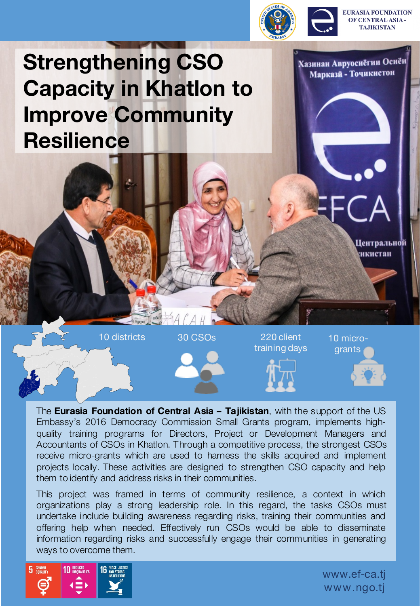

Хазинаи Авруосиёгии Осиён Маркази - Точикистон

## **Strengthening CSO Capacity in Khatlon to Improve Community Resilience**

Центральной икистан

30 CSOs and 220 client and 10 microgrants 10 districts training days

The **Eurasia Foundation of Central Asia – Tajikistan**, with the support of the US Embassy's 2016 Democracy Commission Small Grants program, implements highquality training programs for Directors, Project or Development Managers and Accountants of CSOs in Khatlon. Through a competitive process, the strongest CSOs receive micro-grants which are used to harness the skills acquired and implement projects locally. These activities are designed to strengthen CSO capacity and help them to identify and address risks in their communities.

This project was framed in terms of community resilience, a context in which organizations play a strong leadership role. In this regard, the tasks CSOs must undertake include building awareness regarding risks, training their communities and offering help when needed. Effectively run CSOs would be able to disseminate information regarding risks and successfully engage their communities in generating ways to overcome them.



www.ef-ca.tj www.ngo.tj